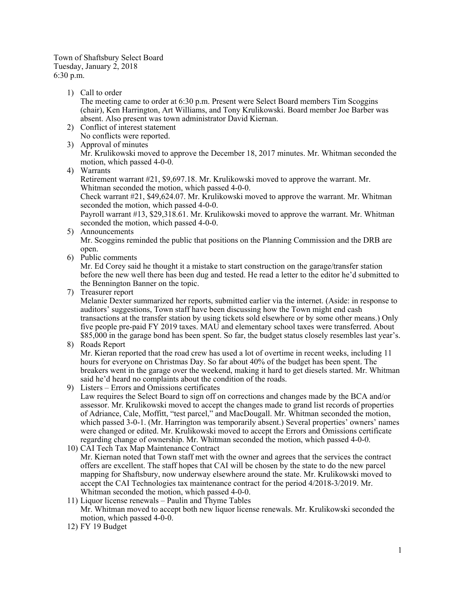Town of Shaftsbury Select Board Tuesday, January 2, 2018 6:30 p.m.

1) Call to order

The meeting came to order at 6:30 p.m. Present were Select Board members Tim Scoggins (chair), Ken Harrington, Art Williams, and Tony Krulikowski. Board member Joe Barber was absent. Also present was town administrator David Kiernan.

- 2) Conflict of interest statement No conflicts were reported.
- 3) Approval of minutes Mr. Krulikowski moved to approve the December 18, 2017 minutes. Mr. Whitman seconded the motion, which passed 4-0-0.
- 4) Warrants

Retirement warrant #21, \$9,697.18. Mr. Krulikowski moved to approve the warrant. Mr. Whitman seconded the motion, which passed 4-0-0.

Check warrant #21, \$49,624.07. Mr. Krulikowski moved to approve the warrant. Mr. Whitman seconded the motion, which passed 4-0-0.

Payroll warrant #13, \$29,318.61. Mr. Krulikowski moved to approve the warrant. Mr. Whitman seconded the motion, which passed 4-0-0.

- 5) Announcements Mr. Scoggins reminded the public that positions on the Planning Commission and the DRB are open.
- 6) Public comments

Mr. Ed Corey said he thought it a mistake to start construction on the garage/transfer station before the new well there has been dug and tested. He read a letter to the editor he'd submitted to the Bennington Banner on the topic.

7) Treasurer report

Melanie Dexter summarized her reports, submitted earlier via the internet. (Aside: in response to auditors' suggestions, Town staff have been discussing how the Town might end cash transactions at the transfer station by using tickets sold elsewhere or by some other means.) Only five people pre-paid FY 2019 taxes. MAU and elementary school taxes were transferred. About \$85,000 in the garage bond has been spent. So far, the budget status closely resembles last year's.

## 8) Roads Report

Mr. Kieran reported that the road crew has used a lot of overtime in recent weeks, including 11 hours for everyone on Christmas Day. So far about 40% of the budget has been spent. The breakers went in the garage over the weekend, making it hard to get diesels started. Mr. Whitman said he'd heard no complaints about the condition of the roads.

9) Listers – Errors and Omissions certificates

Law requires the Select Board to sign off on corrections and changes made by the BCA and/or assessor. Mr. Krulikowski moved to accept the changes made to grand list records of properties of Adriance, Cale, Moffitt, "test parcel," and MacDougall. Mr. Whitman seconded the motion, which passed 3-0-1. (Mr. Harrington was temporarily absent.) Several properties' owners' names were changed or edited. Mr. Krulikowski moved to accept the Errors and Omissions certificate regarding change of ownership. Mr. Whitman seconded the motion, which passed 4-0-0.

- 10) CAI Tech Tax Map Maintenance Contract Mr. Kiernan noted that Town staff met with the owner and agrees that the services the contract offers are excellent. The staff hopes that CAI will be chosen by the state to do the new parcel mapping for Shaftsbury, now underway elsewhere around the state. Mr. Krulikowski moved to accept the CAI Technologies tax maintenance contract for the period 4/2018-3/2019. Mr. Whitman seconded the motion, which passed 4-0-0.
- 11) Liquor license renewals Paulin and Thyme Tables Mr. Whitman moved to accept both new liquor license renewals. Mr. Krulikowski seconded the motion, which passed 4-0-0.
- 12) FY 19 Budget